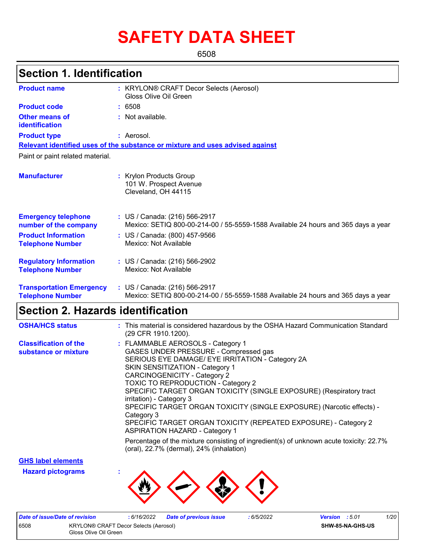# **SAFETY DATA SHEET**

6508

# **Section 1. Identification**

| <b>Product name</b>                                        | : KRYLON® CRAFT Decor Selects (Aerosol)<br>Gloss Olive Oil Green                                                   |
|------------------------------------------------------------|--------------------------------------------------------------------------------------------------------------------|
| <b>Product code</b>                                        | : 6508                                                                                                             |
| Other means of<br>identification                           | : Not available.                                                                                                   |
| <b>Product type</b>                                        | : Aerosol.                                                                                                         |
|                                                            | Relevant identified uses of the substance or mixture and uses advised against                                      |
| Paint or paint related material.                           |                                                                                                                    |
| <b>Manufacturer</b>                                        | : Krylon Products Group<br>101 W. Prospect Avenue<br>Cleveland, OH 44115                                           |
| <b>Emergency telephone</b><br>number of the company        | : US / Canada: (216) 566-2917<br>Mexico: SETIQ 800-00-214-00 / 55-5559-1588 Available 24 hours and 365 days a year |
| <b>Product Information</b><br><b>Telephone Number</b>      | : US / Canada: (800) 457-9566<br>Mexico: Not Available                                                             |
| <b>Regulatory Information</b><br><b>Telephone Number</b>   | : US / Canada: (216) 566-2902<br>Mexico: Not Available                                                             |
| <b>Transportation Emergency</b><br><b>Telephone Number</b> | : US / Canada: (216) 566-2917<br>Mexico: SETIQ 800-00-214-00 / 55-5559-1588 Available 24 hours and 365 days a year |

# **Section 2. Hazards identification**

| <b>OSHA/HCS status</b>                               | : This material is considered hazardous by the OSHA Hazard Communication Standard<br>(29 CFR 1910.1200).                                                                                                                                                                                                                                                                                                                                                                                                                                             |
|------------------------------------------------------|------------------------------------------------------------------------------------------------------------------------------------------------------------------------------------------------------------------------------------------------------------------------------------------------------------------------------------------------------------------------------------------------------------------------------------------------------------------------------------------------------------------------------------------------------|
| <b>Classification of the</b><br>substance or mixture | : FLAMMABLE AEROSOLS - Category 1<br>GASES UNDER PRESSURE - Compressed gas<br>SERIOUS EYE DAMAGE/ EYE IRRITATION - Category 2A<br>SKIN SENSITIZATION - Category 1<br><b>CARCINOGENICITY - Category 2</b><br>TOXIC TO REPRODUCTION - Category 2<br>SPECIFIC TARGET ORGAN TOXICITY (SINGLE EXPOSURE) (Respiratory tract<br>irritation) - Category 3<br>SPECIFIC TARGET ORGAN TOXICITY (SINGLE EXPOSURE) (Narcotic effects) -<br>Category 3<br>SPECIFIC TARGET ORGAN TOXICITY (REPEATED EXPOSURE) - Category 2<br><b>ASPIRATION HAZARD - Category 1</b> |
|                                                      | Percentage of the mixture consisting of ingredient(s) of unknown acute toxicity: 22.7%<br>(oral), 22.7% (dermal), 24% (inhalation)                                                                                                                                                                                                                                                                                                                                                                                                                   |

**GHS label elements**

**Hazard pictograms :**



| Date of issue/Date of revision                                                |  | 6/16/2022 | Date of previous issue | 6/5/2022 | <b>Version</b> : 5.01   | 1/20 |
|-------------------------------------------------------------------------------|--|-----------|------------------------|----------|-------------------------|------|
| 6508<br><b>KRYLON® CRAFT Decor Selects (Aerosol)</b><br>Gloss Olive Oil Green |  |           |                        |          | <b>SHW-85-NA-GHS-US</b> |      |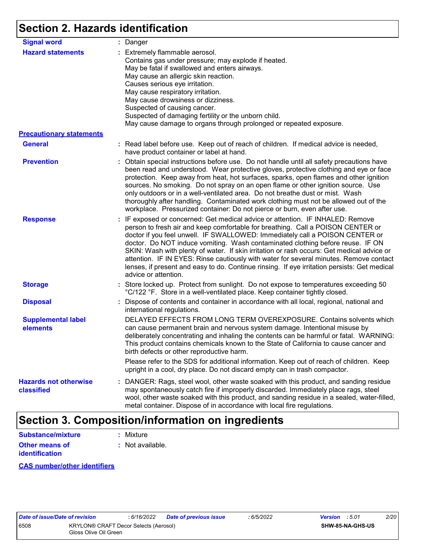# **Section 2. Hazards identification**

| <b>Signal word</b>                                          | : Danger                                                                                                                                                                                                                                                                                                                                                                                                                                                                                                                                                                                                                                           |
|-------------------------------------------------------------|----------------------------------------------------------------------------------------------------------------------------------------------------------------------------------------------------------------------------------------------------------------------------------------------------------------------------------------------------------------------------------------------------------------------------------------------------------------------------------------------------------------------------------------------------------------------------------------------------------------------------------------------------|
| <b>Hazard statements</b><br><b>Precautionary statements</b> | : Extremely flammable aerosol.<br>Contains gas under pressure; may explode if heated.<br>May be fatal if swallowed and enters airways.<br>May cause an allergic skin reaction.<br>Causes serious eye irritation.<br>May cause respiratory irritation.<br>May cause drowsiness or dizziness.<br>Suspected of causing cancer.<br>Suspected of damaging fertility or the unborn child.<br>May cause damage to organs through prolonged or repeated exposure.                                                                                                                                                                                          |
| <b>General</b>                                              | : Read label before use. Keep out of reach of children. If medical advice is needed,                                                                                                                                                                                                                                                                                                                                                                                                                                                                                                                                                               |
|                                                             | have product container or label at hand.                                                                                                                                                                                                                                                                                                                                                                                                                                                                                                                                                                                                           |
| <b>Prevention</b>                                           | : Obtain special instructions before use. Do not handle until all safety precautions have<br>been read and understood. Wear protective gloves, protective clothing and eye or face<br>protection. Keep away from heat, hot surfaces, sparks, open flames and other ignition<br>sources. No smoking. Do not spray on an open flame or other ignition source. Use<br>only outdoors or in a well-ventilated area. Do not breathe dust or mist. Wash<br>thoroughly after handling. Contaminated work clothing must not be allowed out of the<br>workplace. Pressurized container: Do not pierce or burn, even after use.                               |
| <b>Response</b>                                             | : IF exposed or concerned: Get medical advice or attention. IF INHALED: Remove<br>person to fresh air and keep comfortable for breathing. Call a POISON CENTER or<br>doctor if you feel unwell. IF SWALLOWED: Immediately call a POISON CENTER or<br>doctor. Do NOT induce vomiting. Wash contaminated clothing before reuse. IF ON<br>SKIN: Wash with plenty of water. If skin irritation or rash occurs: Get medical advice or<br>attention. IF IN EYES: Rinse cautiously with water for several minutes. Remove contact<br>lenses, if present and easy to do. Continue rinsing. If eye irritation persists: Get medical<br>advice or attention. |
| <b>Storage</b>                                              | : Store locked up. Protect from sunlight. Do not expose to temperatures exceeding 50<br>°C/122 °F. Store in a well-ventilated place. Keep container tightly closed.                                                                                                                                                                                                                                                                                                                                                                                                                                                                                |
| <b>Disposal</b>                                             | : Dispose of contents and container in accordance with all local, regional, national and<br>international regulations.                                                                                                                                                                                                                                                                                                                                                                                                                                                                                                                             |
| <b>Supplemental label</b><br>elements                       | DELAYED EFFECTS FROM LONG TERM OVEREXPOSURE. Contains solvents which<br>can cause permanent brain and nervous system damage. Intentional misuse by<br>deliberately concentrating and inhaling the contents can be harmful or fatal. WARNING:<br>This product contains chemicals known to the State of California to cause cancer and<br>birth defects or other reproductive harm.                                                                                                                                                                                                                                                                  |
|                                                             | Please refer to the SDS for additional information. Keep out of reach of children. Keep<br>upright in a cool, dry place. Do not discard empty can in trash compactor.                                                                                                                                                                                                                                                                                                                                                                                                                                                                              |
| <b>Hazards not otherwise</b><br>classified                  | : DANGER: Rags, steel wool, other waste soaked with this product, and sanding residue<br>may spontaneously catch fire if improperly discarded. Immediately place rags, steel<br>wool, other waste soaked with this product, and sanding residue in a sealed, water-filled,<br>metal container. Dispose of in accordance with local fire regulations.                                                                                                                                                                                                                                                                                               |

# **Section 3. Composition/information on ingredients**

| <b>Substance/mixture</b> | : Mixture        |
|--------------------------|------------------|
| Other means of           | : Not available. |
| <b>identification</b>    |                  |

## **CAS number/other identifiers**

|     | <i><b>late of issue/Date c</b></i> |  |
|-----|------------------------------------|--|
| 508 |                                    |  |
|     |                                    |  |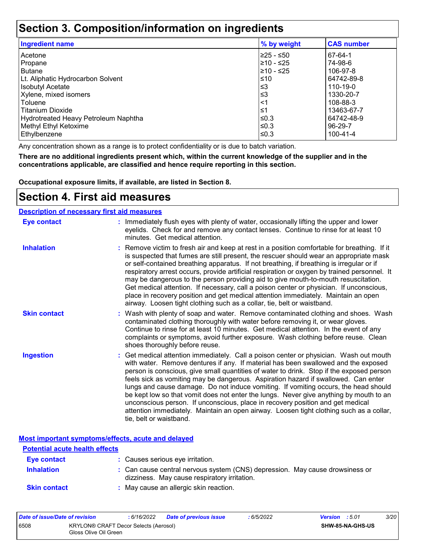# **Section 3. Composition/information on ingredients**

| <b>Ingredient name</b>               | % by weight | <b>CAS number</b> |
|--------------------------------------|-------------|-------------------|
| Acetone                              | 225 - ≤50   | 67-64-1           |
| Propane                              | 210 - ≤25   | 74-98-6           |
| <b>Butane</b>                        | 210 - ≤25   | 106-97-8          |
| Lt. Aliphatic Hydrocarbon Solvent    | ≤10         | 64742-89-8        |
| <b>Isobutyl Acetate</b>              | $≤3$        | 110-19-0          |
| Xylene, mixed isomers                | $≤3$        | 1330-20-7         |
| Toluene                              | ∣<1         | 108-88-3          |
| Titanium Dioxide                     | 1≤          | 13463-67-7        |
| Hydrotreated Heavy Petroleum Naphtha | l≤0.3       | 64742-48-9        |
| Methyl Ethyl Ketoxime                | l≤0.3       | 96-29-7           |
| Ethylbenzene                         | ≤0.3        | 100-41-4          |

Any concentration shown as a range is to protect confidentiality or is due to batch variation.

**There are no additional ingredients present which, within the current knowledge of the supplier and in the concentrations applicable, are classified and hence require reporting in this section.**

**Occupational exposure limits, if available, are listed in Section 8.**

## **Section 4. First aid measures**

### **Description of necessary first aid measures**

| <b>Eye contact</b>  | : Immediately flush eyes with plenty of water, occasionally lifting the upper and lower<br>eyelids. Check for and remove any contact lenses. Continue to rinse for at least 10<br>minutes. Get medical attention.                                                                                                                                                                                                                                                                                                                                                                                                                                                                                                                                       |
|---------------------|---------------------------------------------------------------------------------------------------------------------------------------------------------------------------------------------------------------------------------------------------------------------------------------------------------------------------------------------------------------------------------------------------------------------------------------------------------------------------------------------------------------------------------------------------------------------------------------------------------------------------------------------------------------------------------------------------------------------------------------------------------|
| <b>Inhalation</b>   | : Remove victim to fresh air and keep at rest in a position comfortable for breathing. If it<br>is suspected that fumes are still present, the rescuer should wear an appropriate mask<br>or self-contained breathing apparatus. If not breathing, if breathing is irregular or if<br>respiratory arrest occurs, provide artificial respiration or oxygen by trained personnel. It<br>may be dangerous to the person providing aid to give mouth-to-mouth resuscitation.<br>Get medical attention. If necessary, call a poison center or physician. If unconscious,<br>place in recovery position and get medical attention immediately. Maintain an open<br>airway. Loosen tight clothing such as a collar, tie, belt or waistband.                    |
| <b>Skin contact</b> | : Wash with plenty of soap and water. Remove contaminated clothing and shoes. Wash<br>contaminated clothing thoroughly with water before removing it, or wear gloves.<br>Continue to rinse for at least 10 minutes. Get medical attention. In the event of any<br>complaints or symptoms, avoid further exposure. Wash clothing before reuse. Clean<br>shoes thoroughly before reuse.                                                                                                                                                                                                                                                                                                                                                                   |
| <b>Ingestion</b>    | : Get medical attention immediately. Call a poison center or physician. Wash out mouth<br>with water. Remove dentures if any. If material has been swallowed and the exposed<br>person is conscious, give small quantities of water to drink. Stop if the exposed person<br>feels sick as vomiting may be dangerous. Aspiration hazard if swallowed. Can enter<br>lungs and cause damage. Do not induce vomiting. If vomiting occurs, the head should<br>be kept low so that vomit does not enter the lungs. Never give anything by mouth to an<br>unconscious person. If unconscious, place in recovery position and get medical<br>attention immediately. Maintain an open airway. Loosen tight clothing such as a collar,<br>tie, belt or waistband. |

**Most important symptoms/effects, acute and delayed**

| <b>Potential acute health effects</b> |                                                                                                                              |
|---------------------------------------|------------------------------------------------------------------------------------------------------------------------------|
| <b>Eve contact</b>                    | : Causes serious eye irritation.                                                                                             |
| <b>Inhalation</b>                     | : Can cause central nervous system (CNS) depression. May cause drowsiness or<br>dizziness. May cause respiratory irritation. |
| <b>Skin contact</b>                   | : May cause an allergic skin reaction.                                                                                       |

| Date of issue/Date of revision |                                                                | 6/16/2022 | <b>Date of previous issue</b> | : 6/5/2022 | <b>Version</b> : 5.01 |                         | <i>3/20</i> |
|--------------------------------|----------------------------------------------------------------|-----------|-------------------------------|------------|-----------------------|-------------------------|-------------|
| 6508                           | KRYLON® CRAFT Decor Selects (Aerosol)<br>Gloss Olive Oil Green |           |                               |            |                       | <b>SHW-85-NA-GHS-US</b> |             |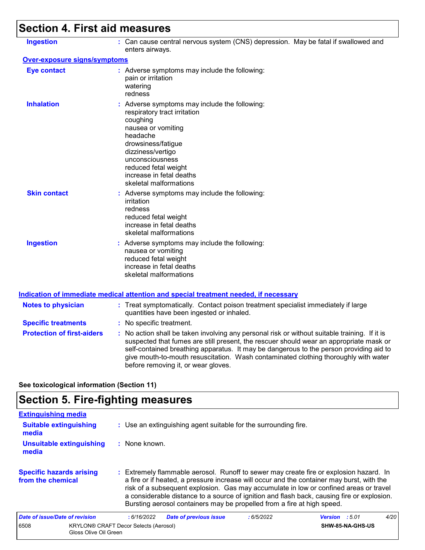# **Section 4. First aid measures**

| <b>Ingestion</b>                  | : Can cause central nervous system (CNS) depression. May be fatal if swallowed and<br>enters airways.                                                                                                                                                                                                                                                                                                           |
|-----------------------------------|-----------------------------------------------------------------------------------------------------------------------------------------------------------------------------------------------------------------------------------------------------------------------------------------------------------------------------------------------------------------------------------------------------------------|
| Over-exposure signs/symptoms      |                                                                                                                                                                                                                                                                                                                                                                                                                 |
| <b>Eye contact</b>                | : Adverse symptoms may include the following:<br>pain or irritation<br>watering<br>redness                                                                                                                                                                                                                                                                                                                      |
| <b>Inhalation</b>                 | : Adverse symptoms may include the following:<br>respiratory tract irritation<br>coughing<br>nausea or vomiting<br>headache<br>drowsiness/fatigue<br>dizziness/vertigo<br>unconsciousness<br>reduced fetal weight<br>increase in fetal deaths<br>skeletal malformations                                                                                                                                         |
| <b>Skin contact</b>               | : Adverse symptoms may include the following:<br>irritation<br>redness<br>reduced fetal weight<br>increase in fetal deaths<br>skeletal malformations                                                                                                                                                                                                                                                            |
| <b>Ingestion</b>                  | : Adverse symptoms may include the following:<br>nausea or vomiting<br>reduced fetal weight<br>increase in fetal deaths<br>skeletal malformations                                                                                                                                                                                                                                                               |
|                                   | Indication of immediate medical attention and special treatment needed, if necessary                                                                                                                                                                                                                                                                                                                            |
| <b>Notes to physician</b>         | : Treat symptomatically. Contact poison treatment specialist immediately if large<br>quantities have been ingested or inhaled.                                                                                                                                                                                                                                                                                  |
| <b>Specific treatments</b>        | : No specific treatment.                                                                                                                                                                                                                                                                                                                                                                                        |
| <b>Protection of first-aiders</b> | : No action shall be taken involving any personal risk or without suitable training. If it is<br>suspected that fumes are still present, the rescuer should wear an appropriate mask or<br>self-contained breathing apparatus. It may be dangerous to the person providing aid to<br>give mouth-to-mouth resuscitation. Wash contaminated clothing thoroughly with water<br>before removing it, or wear gloves. |
|                                   |                                                                                                                                                                                                                                                                                                                                                                                                                 |

**See toxicological information (Section 11)**

# **Section 5. Fire-fighting measures**

| <b>Extinguishing media</b>                           |                                                                                                                                                                                                                                                                                                                                                                                                                                                       |                               |
|------------------------------------------------------|-------------------------------------------------------------------------------------------------------------------------------------------------------------------------------------------------------------------------------------------------------------------------------------------------------------------------------------------------------------------------------------------------------------------------------------------------------|-------------------------------|
| <b>Suitable extinguishing</b><br>media               | : Use an extinguishing agent suitable for the surrounding fire.                                                                                                                                                                                                                                                                                                                                                                                       |                               |
| Unsuitable extinguishing<br>media                    | : None known.                                                                                                                                                                                                                                                                                                                                                                                                                                         |                               |
| <b>Specific hazards arising</b><br>from the chemical | : Extremely flammable aerosol. Runoff to sewer may create fire or explosion hazard. In<br>a fire or if heated, a pressure increase will occur and the container may burst, with the<br>risk of a subsequent explosion. Gas may accumulate in low or confined areas or travel<br>a considerable distance to a source of ignition and flash back, causing fire or explosion.<br>Bursting aerosol containers may be propelled from a fire at high speed. |                               |
| Date of issue/Date of revision                       | <b>Date of previous issue</b><br>:6/5/2022<br>:6/16/2022                                                                                                                                                                                                                                                                                                                                                                                              | 4/20<br><b>Version</b> : 5.01 |
| 6508<br>Gloss Olive Oil Green                        | <b>KRYLON® CRAFT Decor Selects (Aerosol)</b>                                                                                                                                                                                                                                                                                                                                                                                                          | SHW-85-NA-GHS-US              |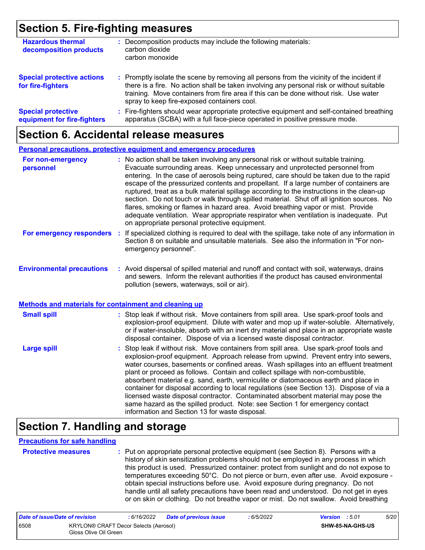# **Section 5. Fire-fighting measures**

| <b>Hazardous thermal</b><br>decomposition products       | Decomposition products may include the following materials:<br>carbon dioxide<br>carbon monoxide                                                                                                                                                                                                                              |
|----------------------------------------------------------|-------------------------------------------------------------------------------------------------------------------------------------------------------------------------------------------------------------------------------------------------------------------------------------------------------------------------------|
| <b>Special protective actions</b><br>for fire-fighters   | : Promptly isolate the scene by removing all persons from the vicinity of the incident if<br>there is a fire. No action shall be taken involving any personal risk or without suitable<br>training. Move containers from fire area if this can be done without risk. Use water<br>spray to keep fire-exposed containers cool. |
| <b>Special protective</b><br>equipment for fire-fighters | : Fire-fighters should wear appropriate protective equipment and self-contained breathing<br>apparatus (SCBA) with a full face-piece operated in positive pressure mode.                                                                                                                                                      |

## **Section 6. Accidental release measures**

|                                                                                                  | Personal precautions, protective equipment and emergency procedures                                                                                                                                                                                                                                                                                                                                                                                                                                                                                                                                                                                                                                                                                                              |
|--------------------------------------------------------------------------------------------------|----------------------------------------------------------------------------------------------------------------------------------------------------------------------------------------------------------------------------------------------------------------------------------------------------------------------------------------------------------------------------------------------------------------------------------------------------------------------------------------------------------------------------------------------------------------------------------------------------------------------------------------------------------------------------------------------------------------------------------------------------------------------------------|
| For non-emergency<br>personnel                                                                   | : No action shall be taken involving any personal risk or without suitable training.<br>Evacuate surrounding areas. Keep unnecessary and unprotected personnel from<br>entering. In the case of aerosols being ruptured, care should be taken due to the rapid<br>escape of the pressurized contents and propellant. If a large number of containers are<br>ruptured, treat as a bulk material spillage according to the instructions in the clean-up<br>section. Do not touch or walk through spilled material. Shut off all ignition sources. No<br>flares, smoking or flames in hazard area. Avoid breathing vapor or mist. Provide<br>adequate ventilation. Wear appropriate respirator when ventilation is inadequate. Put<br>on appropriate personal protective equipment. |
| For emergency responders                                                                         | If specialized clothing is required to deal with the spillage, take note of any information in<br>÷.<br>Section 8 on suitable and unsuitable materials. See also the information in "For non-<br>emergency personnel".                                                                                                                                                                                                                                                                                                                                                                                                                                                                                                                                                           |
| <b>Environmental precautions</b><br><b>Methods and materials for containment and cleaning up</b> | : Avoid dispersal of spilled material and runoff and contact with soil, waterways, drains<br>and sewers. Inform the relevant authorities if the product has caused environmental<br>pollution (sewers, waterways, soil or air).                                                                                                                                                                                                                                                                                                                                                                                                                                                                                                                                                  |
|                                                                                                  |                                                                                                                                                                                                                                                                                                                                                                                                                                                                                                                                                                                                                                                                                                                                                                                  |
| <b>Small spill</b>                                                                               | : Stop leak if without risk. Move containers from spill area. Use spark-proof tools and<br>explosion-proof equipment. Dilute with water and mop up if water-soluble. Alternatively,<br>or if water-insoluble, absorb with an inert dry material and place in an appropriate waste<br>disposal container. Dispose of via a licensed waste disposal contractor.                                                                                                                                                                                                                                                                                                                                                                                                                    |
| <b>Large spill</b>                                                                               | Stop leak if without risk. Move containers from spill area. Use spark-proof tools and<br>explosion-proof equipment. Approach release from upwind. Prevent entry into sewers,<br>water courses, basements or confined areas. Wash spillages into an effluent treatment<br>plant or proceed as follows. Contain and collect spillage with non-combustible,<br>absorbent material e.g. sand, earth, vermiculite or diatomaceous earth and place in<br>container for disposal according to local regulations (see Section 13). Dispose of via a<br>licensed waste disposal contractor. Contaminated absorbent material may pose the<br>same hazard as the spilled product. Note: see Section 1 for emergency contact<br>information and Section 13 for waste disposal.               |

## **Section 7. Handling and storage**

#### **Precautions for safe handling**

**Protective measures :** Put on appropriate personal protective equipment (see Section 8). Persons with a history of skin sensitization problems should not be employed in any process in which this product is used. Pressurized container: protect from sunlight and do not expose to temperatures exceeding 50°C. Do not pierce or burn, even after use. Avoid exposure obtain special instructions before use. Avoid exposure during pregnancy. Do not handle until all safety precautions have been read and understood. Do not get in eyes or on skin or clothing. Do not breathe vapor or mist. Do not swallow. Avoid breathing

| Date of issue/Date of revision |                                                                | : 6/16/2022 | <b>Date of previous issue</b> | : 6/5/2022 | <b>Version</b> : 5.01 |                         | 5/20 |
|--------------------------------|----------------------------------------------------------------|-------------|-------------------------------|------------|-----------------------|-------------------------|------|
| 6508                           | KRYLON® CRAFT Decor Selects (Aerosol)<br>Gloss Olive Oil Green |             |                               |            |                       | <b>SHW-85-NA-GHS-US</b> |      |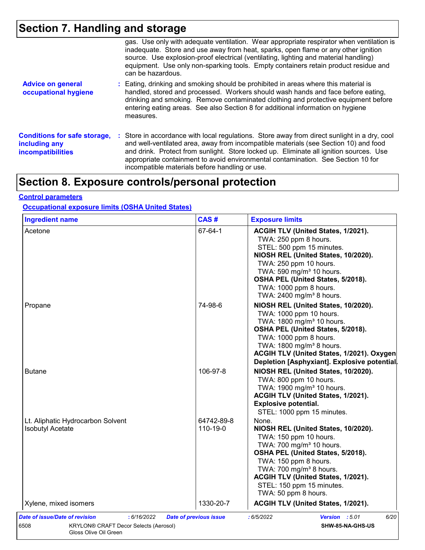# **Section 7. Handling and storage**

|                                                                                  | gas. Use only with adequate ventilation. Wear appropriate respirator when ventilation is<br>inadequate. Store and use away from heat, sparks, open flame or any other ignition<br>source. Use explosion-proof electrical (ventilating, lighting and material handling)<br>equipment. Use only non-sparking tools. Empty containers retain product residue and<br>can be hazardous.                                   |
|----------------------------------------------------------------------------------|----------------------------------------------------------------------------------------------------------------------------------------------------------------------------------------------------------------------------------------------------------------------------------------------------------------------------------------------------------------------------------------------------------------------|
| <b>Advice on general</b><br>occupational hygiene                                 | : Eating, drinking and smoking should be prohibited in areas where this material is<br>handled, stored and processed. Workers should wash hands and face before eating,<br>drinking and smoking. Remove contaminated clothing and protective equipment before<br>entering eating areas. See also Section 8 for additional information on hygiene<br>measures.                                                        |
| <b>Conditions for safe storage,</b><br>including any<br><b>incompatibilities</b> | : Store in accordance with local regulations. Store away from direct sunlight in a dry, cool<br>and well-ventilated area, away from incompatible materials (see Section 10) and food<br>and drink. Protect from sunlight. Store locked up. Eliminate all ignition sources. Use<br>appropriate containment to avoid environmental contamination. See Section 10 for<br>incompatible materials before handling or use. |

# **Section 8. Exposure controls/personal protection**

## **Control parameters**

## **Occupational exposure limits (OSHA United States)**

| <b>Ingredient name</b>                                       | CAS#                   | <b>Exposure limits</b>                                                                                                                                                                                                                                                                                         |
|--------------------------------------------------------------|------------------------|----------------------------------------------------------------------------------------------------------------------------------------------------------------------------------------------------------------------------------------------------------------------------------------------------------------|
| Acetone                                                      | 67-64-1                | ACGIH TLV (United States, 1/2021).<br>TWA: 250 ppm 8 hours.<br>STEL: 500 ppm 15 minutes.<br>NIOSH REL (United States, 10/2020).<br>TWA: 250 ppm 10 hours.<br>TWA: 590 mg/m <sup>3</sup> 10 hours.<br>OSHA PEL (United States, 5/2018).<br>TWA: 1000 ppm 8 hours.<br>TWA: 2400 mg/m <sup>3</sup> 8 hours.       |
| Propane                                                      | 74-98-6                | NIOSH REL (United States, 10/2020).<br>TWA: 1000 ppm 10 hours.<br>TWA: 1800 mg/m <sup>3</sup> 10 hours.<br>OSHA PEL (United States, 5/2018).<br>TWA: 1000 ppm 8 hours.<br>TWA: 1800 mg/m <sup>3</sup> 8 hours.<br>ACGIH TLV (United States, 1/2021). Oxygen<br>Depletion [Asphyxiant]. Explosive potential.    |
| <b>Butane</b>                                                | 106-97-8               | NIOSH REL (United States, 10/2020).<br>TWA: 800 ppm 10 hours.<br>TWA: 1900 mg/m <sup>3</sup> 10 hours.<br>ACGIH TLV (United States, 1/2021).<br><b>Explosive potential.</b><br>STEL: 1000 ppm 15 minutes.                                                                                                      |
| Lt. Aliphatic Hydrocarbon Solvent<br><b>Isobutyl Acetate</b> | 64742-89-8<br>110-19-0 | None.<br>NIOSH REL (United States, 10/2020).<br>TWA: 150 ppm 10 hours.<br>TWA: 700 mg/m <sup>3</sup> 10 hours.<br>OSHA PEL (United States, 5/2018).<br>TWA: 150 ppm 8 hours.<br>TWA: 700 mg/m <sup>3</sup> 8 hours.<br>ACGIH TLV (United States, 1/2021).<br>STEL: 150 ppm 15 minutes.<br>TWA: 50 ppm 8 hours. |
| Xylene, mixed isomers                                        | 1330-20-7              | ACGIH TLV (United States, 1/2021).                                                                                                                                                                                                                                                                             |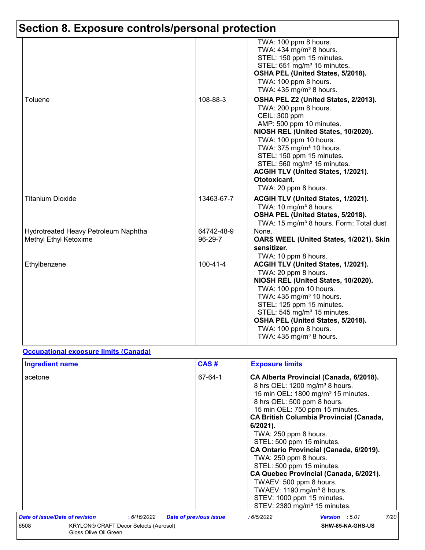|                                                               |                       | TWA: 100 ppm 8 hours.<br>TWA: 434 mg/m <sup>3</sup> 8 hours.<br>STEL: 150 ppm 15 minutes.<br>STEL: 651 mg/m <sup>3</sup> 15 minutes.<br>OSHA PEL (United States, 5/2018).<br>TWA: 100 ppm 8 hours.<br>TWA: $435 \text{ mg/m}^3$ 8 hours.                                                                                                          |
|---------------------------------------------------------------|-----------------------|---------------------------------------------------------------------------------------------------------------------------------------------------------------------------------------------------------------------------------------------------------------------------------------------------------------------------------------------------|
| Toluene                                                       | 108-88-3              | OSHA PEL Z2 (United States, 2/2013).<br>TWA: 200 ppm 8 hours.<br>CEIL: 300 ppm<br>AMP: 500 ppm 10 minutes.<br>NIOSH REL (United States, 10/2020).<br>TWA: 100 ppm 10 hours.<br>TWA: 375 mg/m <sup>3</sup> 10 hours.<br>STEL: 150 ppm 15 minutes.<br>STEL: 560 mg/m <sup>3</sup> 15 minutes.<br>ACGIH TLV (United States, 1/2021).<br>Ototoxicant. |
| <b>Titanium Dioxide</b>                                       | 13463-67-7            | TWA: 20 ppm 8 hours.<br>ACGIH TLV (United States, 1/2021).<br>TWA: 10 mg/m <sup>3</sup> 8 hours.<br>OSHA PEL (United States, 5/2018).<br>TWA: 15 mg/m <sup>3</sup> 8 hours. Form: Total dust                                                                                                                                                      |
| Hydrotreated Heavy Petroleum Naphtha<br>Methyl Ethyl Ketoxime | 64742-48-9<br>96-29-7 | None.<br>OARS WEEL (United States, 1/2021). Skin<br>sensitizer.<br>TWA: 10 ppm 8 hours.                                                                                                                                                                                                                                                           |
| Ethylbenzene                                                  | $100 - 41 - 4$        | ACGIH TLV (United States, 1/2021).<br>TWA: 20 ppm 8 hours.<br>NIOSH REL (United States, 10/2020).<br>TWA: 100 ppm 10 hours.<br>TWA: 435 mg/m <sup>3</sup> 10 hours.<br>STEL: 125 ppm 15 minutes.<br>STEL: 545 mg/m <sup>3</sup> 15 minutes.<br>OSHA PEL (United States, 5/2018).<br>TWA: 100 ppm 8 hours.<br>TWA: 435 mg/m <sup>3</sup> 8 hours.  |

## **Occupational exposure limits (Canada)**

| <b>Ingredient name</b>                                                 |             | CAS#                          | <b>Exposure limits</b>                                                                                                                                                                                                                                                                                                                                                                                                                                                                                                                                                                                                     |      |
|------------------------------------------------------------------------|-------------|-------------------------------|----------------------------------------------------------------------------------------------------------------------------------------------------------------------------------------------------------------------------------------------------------------------------------------------------------------------------------------------------------------------------------------------------------------------------------------------------------------------------------------------------------------------------------------------------------------------------------------------------------------------------|------|
| acetone                                                                |             | 67-64-1                       | CA Alberta Provincial (Canada, 6/2018).<br>8 hrs OEL: 1200 mg/m <sup>3</sup> 8 hours.<br>15 min OEL: 1800 mg/m <sup>3</sup> 15 minutes.<br>8 hrs OEL: 500 ppm 8 hours.<br>15 min OEL: 750 ppm 15 minutes.<br><b>CA British Columbia Provincial (Canada,</b><br>$6/2021$ ).<br>TWA: 250 ppm 8 hours.<br>STEL: 500 ppm 15 minutes.<br>CA Ontario Provincial (Canada, 6/2019).<br>TWA: 250 ppm 8 hours.<br>STEL: 500 ppm 15 minutes.<br>CA Quebec Provincial (Canada, 6/2021).<br>TWAEV: 500 ppm 8 hours.<br>TWAEV: 1190 mg/m <sup>3</sup> 8 hours.<br>STEV: 1000 ppm 15 minutes.<br>STEV: 2380 mg/m <sup>3</sup> 15 minutes. |      |
| Date of issue/Date of revision                                         | : 6/16/2022 | <b>Date of previous issue</b> | :6/5/2022<br>Version : 5.01                                                                                                                                                                                                                                                                                                                                                                                                                                                                                                                                                                                                | 7/20 |
| 6508<br>KRYLON® CRAFT Decor Selects (Aerosol)<br>Gloss Olive Oil Green |             | SHW-85-NA-GHS-US              |                                                                                                                                                                                                                                                                                                                                                                                                                                                                                                                                                                                                                            |      |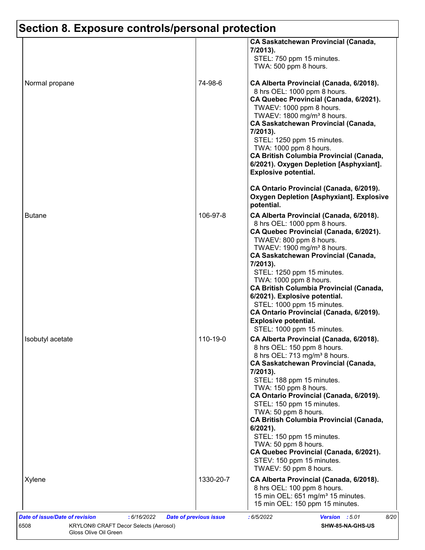|                  | <b>CA Saskatchewan Provincial (Canada,</b><br>7/2013).<br>STEL: 750 ppm 15 minutes.<br>TWA: 500 ppm 8 hours.                                                                                                                                                                                                                                                                                                                                                               |                                                                                                                                     |
|------------------|----------------------------------------------------------------------------------------------------------------------------------------------------------------------------------------------------------------------------------------------------------------------------------------------------------------------------------------------------------------------------------------------------------------------------------------------------------------------------|-------------------------------------------------------------------------------------------------------------------------------------|
| Normal propane   | 74-98-6<br>CA Alberta Provincial (Canada, 6/2018).<br>8 hrs OEL: 1000 ppm 8 hours.<br>TWAEV: 1000 ppm 8 hours.<br>TWAEV: 1800 mg/m <sup>3</sup> 8 hours.<br><b>CA Saskatchewan Provincial (Canada,</b><br>7/2013).<br>STEL: 1250 ppm 15 minutes.<br>TWA: 1000 ppm 8 hours.<br><b>Explosive potential.</b>                                                                                                                                                                  | CA Quebec Provincial (Canada, 6/2021).<br><b>CA British Columbia Provincial (Canada,</b><br>6/2021). Oxygen Depletion [Asphyxiant]. |
|                  | CA Ontario Provincial (Canada, 6/2019).<br>potential.                                                                                                                                                                                                                                                                                                                                                                                                                      | <b>Oxygen Depletion [Asphyxiant]. Explosive</b>                                                                                     |
| <b>Butane</b>    | 106-97-8<br>CA Alberta Provincial (Canada, 6/2018).<br>8 hrs OEL: 1000 ppm 8 hours.<br>TWAEV: 800 ppm 8 hours.<br>TWAEV: 1900 mg/m <sup>3</sup> 8 hours.<br><b>CA Saskatchewan Provincial (Canada,</b><br>7/2013).<br>STEL: 1250 ppm 15 minutes.<br>TWA: 1000 ppm 8 hours.<br>6/2021). Explosive potential.<br>STEL: 1000 ppm 15 minutes.<br>CA Ontario Provincial (Canada, 6/2019).<br><b>Explosive potential.</b><br>STEL: 1000 ppm 15 minutes.                          | CA Quebec Provincial (Canada, 6/2021).<br><b>CA British Columbia Provincial (Canada,</b>                                            |
| Isobutyl acetate | 110-19-0<br>CA Alberta Provincial (Canada, 6/2018).<br>8 hrs OEL: 150 ppm 8 hours.<br>8 hrs OEL: 713 mg/m <sup>3</sup> 8 hours.<br><b>CA Saskatchewan Provincial (Canada,</b><br>7/2013).<br>STEL: 188 ppm 15 minutes.<br>TWA: 150 ppm 8 hours.<br>CA Ontario Provincial (Canada, 6/2019).<br>STEL: 150 ppm 15 minutes.<br>TWA: 50 ppm 8 hours.<br>$6/2021$ ).<br>STEL: 150 ppm 15 minutes.<br>TWA: 50 ppm 8 hours.<br>STEV: 150 ppm 15 minutes.<br>TWAEV: 50 ppm 8 hours. | <b>CA British Columbia Provincial (Canada,</b><br>CA Quebec Provincial (Canada, 6/2021).                                            |
| Xylene           | 1330-20-7<br>CA Alberta Provincial (Canada, 6/2018).<br>8 hrs OEL: 100 ppm 8 hours.<br>15 min OEL: 651 mg/m <sup>3</sup> 15 minutes.<br>15 min OEL: 150 ppm 15 minutes.                                                                                                                                                                                                                                                                                                    |                                                                                                                                     |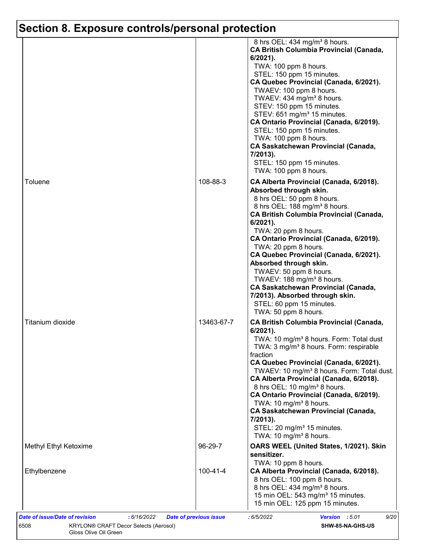|                       |            | 8 hrs OEL: 434 mg/m <sup>3</sup> 8 hours.<br><b>CA British Columbia Provincial (Canada,</b><br>$6/2021$ ).<br>TWA: 100 ppm 8 hours.<br>STEL: 150 ppm 15 minutes.<br>CA Quebec Provincial (Canada, 6/2021).<br>TWAEV: 100 ppm 8 hours.<br>TWAEV: 434 mg/m <sup>3</sup> 8 hours.<br>STEV: 150 ppm 15 minutes.<br>STEV: 651 mg/m <sup>3</sup> 15 minutes.<br>CA Ontario Provincial (Canada, 6/2019).<br>STEL: 150 ppm 15 minutes.<br>TWA: 100 ppm 8 hours.<br><b>CA Saskatchewan Provincial (Canada,</b><br>7/2013).<br>STEL: 150 ppm 15 minutes.<br>TWA: 100 ppm 8 hours.                                      |
|-----------------------|------------|--------------------------------------------------------------------------------------------------------------------------------------------------------------------------------------------------------------------------------------------------------------------------------------------------------------------------------------------------------------------------------------------------------------------------------------------------------------------------------------------------------------------------------------------------------------------------------------------------------------|
| Toluene               | 108-88-3   | CA Alberta Provincial (Canada, 6/2018).<br>Absorbed through skin.<br>8 hrs OEL: 50 ppm 8 hours.<br>8 hrs OEL: 188 mg/m <sup>3</sup> 8 hours.<br><b>CA British Columbia Provincial (Canada,</b><br>6/2021).<br>TWA: 20 ppm 8 hours.<br>CA Ontario Provincial (Canada, 6/2019).<br>TWA: 20 ppm 8 hours.<br>CA Quebec Provincial (Canada, 6/2021).<br>Absorbed through skin.<br>TWAEV: 50 ppm 8 hours.<br>TWAEV: 188 mg/m <sup>3</sup> 8 hours.<br><b>CA Saskatchewan Provincial (Canada,</b><br>7/2013). Absorbed through skin.<br>STEL: 60 ppm 15 minutes.<br>TWA: 50 ppm 8 hours.                            |
| Titanium dioxide      | 13463-67-7 | <b>CA British Columbia Provincial (Canada,</b><br>$6/2021$ ).<br>TWA: 10 mg/m <sup>3</sup> 8 hours. Form: Total dust<br>TWA: 3 mg/m <sup>3</sup> 8 hours. Form: respirable<br>fraction<br>CA Quebec Provincial (Canada, 6/2021).<br>TWAEV: 10 mg/m <sup>3</sup> 8 hours. Form: Total dust.<br>CA Alberta Provincial (Canada, 6/2018).<br>8 hrs OEL: 10 mg/m <sup>3</sup> 8 hours.<br>CA Ontario Provincial (Canada, 6/2019).<br>TWA: 10 mg/m <sup>3</sup> 8 hours.<br><b>CA Saskatchewan Provincial (Canada,</b><br>7/2013).<br>STEL: 20 mg/m <sup>3</sup> 15 minutes.<br>TWA: 10 mg/m <sup>3</sup> 8 hours. |
| Methyl Ethyl Ketoxime | 96-29-7    | OARS WEEL (United States, 1/2021). Skin<br>sensitizer.<br>TWA: 10 ppm 8 hours.                                                                                                                                                                                                                                                                                                                                                                                                                                                                                                                               |
| Ethylbenzene          | 100-41-4   | CA Alberta Provincial (Canada, 6/2018).<br>8 hrs OEL: 100 ppm 8 hours.<br>8 hrs OEL: 434 mg/m <sup>3</sup> 8 hours.<br>15 min OEL: 543 mg/m <sup>3</sup> 15 minutes.<br>15 min OEL: 125 ppm 15 minutes.                                                                                                                                                                                                                                                                                                                                                                                                      |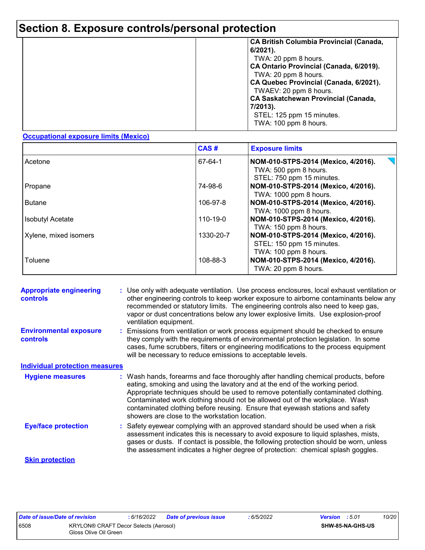|  | <b>CA British Columbia Provincial (Canada,</b><br>$6/2021$ ).<br>TWA: 20 ppm 8 hours.<br>CA Ontario Provincial (Canada, 6/2019).<br>TWA: 20 ppm 8 hours.<br>CA Quebec Provincial (Canada, 6/2021).<br>TWAEV: 20 ppm 8 hours.<br><b>CA Saskatchewan Provincial (Canada,</b><br>7/2013).<br>STEL: 125 ppm 15 minutes.<br>TWA: 100 ppm 8 hours. |
|--|----------------------------------------------------------------------------------------------------------------------------------------------------------------------------------------------------------------------------------------------------------------------------------------------------------------------------------------------|
|--|----------------------------------------------------------------------------------------------------------------------------------------------------------------------------------------------------------------------------------------------------------------------------------------------------------------------------------------------|

### **Occupational exposure limits (Mexico)**

|                         | CAS#           | <b>Exposure limits</b>                                                                    |
|-------------------------|----------------|-------------------------------------------------------------------------------------------|
| Acetone                 | 67-64-1        | NOM-010-STPS-2014 (Mexico, 4/2016).<br>TWA: 500 ppm 8 hours.<br>STEL: 750 ppm 15 minutes. |
| Propane                 | 74-98-6        | NOM-010-STPS-2014 (Mexico, 4/2016).<br>TWA: 1000 ppm 8 hours.                             |
| <b>Butane</b>           | 106-97-8       | NOM-010-STPS-2014 (Mexico, 4/2016).<br>TWA: 1000 ppm 8 hours.                             |
| <b>Isobutyl Acetate</b> | $110 - 19 - 0$ | NOM-010-STPS-2014 (Mexico, 4/2016).<br>TWA: 150 ppm 8 hours.                              |
| Xylene, mixed isomers   | 1330-20-7      | NOM-010-STPS-2014 (Mexico, 4/2016).<br>STEL: 150 ppm 15 minutes.<br>TWA: 100 ppm 8 hours. |
| Toluene                 | 108-88-3       | NOM-010-STPS-2014 (Mexico, 4/2016).<br>TWA: 20 ppm 8 hours.                               |

| <b>Appropriate engineering</b><br><b>controls</b> | : Use only with adequate ventilation. Use process enclosures, local exhaust ventilation or<br>other engineering controls to keep worker exposure to airborne contaminants below any<br>recommended or statutory limits. The engineering controls also need to keep gas,<br>vapor or dust concentrations below any lower explosive limits. Use explosion-proof<br>ventilation equipment.                                                                                     |
|---------------------------------------------------|-----------------------------------------------------------------------------------------------------------------------------------------------------------------------------------------------------------------------------------------------------------------------------------------------------------------------------------------------------------------------------------------------------------------------------------------------------------------------------|
| <b>Environmental exposure</b><br><b>controls</b>  | : Emissions from ventilation or work process equipment should be checked to ensure<br>they comply with the requirements of environmental protection legislation. In some<br>cases, fume scrubbers, filters or engineering modifications to the process equipment<br>will be necessary to reduce emissions to acceptable levels.                                                                                                                                             |
| <b>Individual protection measures</b>             |                                                                                                                                                                                                                                                                                                                                                                                                                                                                             |
| <b>Hygiene measures</b>                           | : Wash hands, forearms and face thoroughly after handling chemical products, before<br>eating, smoking and using the lavatory and at the end of the working period.<br>Appropriate techniques should be used to remove potentially contaminated clothing.<br>Contaminated work clothing should not be allowed out of the workplace. Wash<br>contaminated clothing before reusing. Ensure that eyewash stations and safety<br>showers are close to the workstation location. |
| <b>Eye/face protection</b>                        | : Safety eyewear complying with an approved standard should be used when a risk<br>assessment indicates this is necessary to avoid exposure to liquid splashes, mists,<br>gases or dusts. If contact is possible, the following protection should be worn, unless<br>the assessment indicates a higher degree of protection: chemical splash goggles.                                                                                                                       |
| <b>Skin protection</b>                            |                                                                                                                                                                                                                                                                                                                                                                                                                                                                             |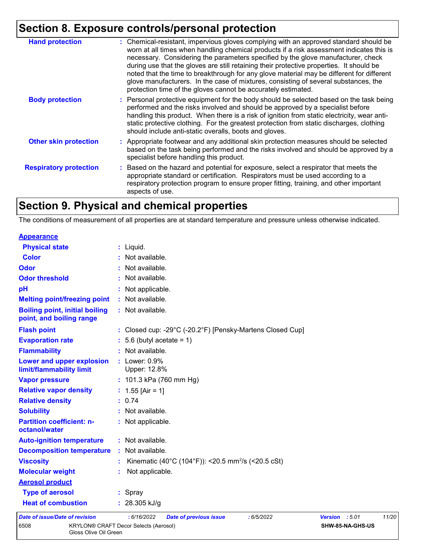| <b>Hand protection</b>        | : Chemical-resistant, impervious gloves complying with an approved standard should be<br>worn at all times when handling chemical products if a risk assessment indicates this is<br>necessary. Considering the parameters specified by the glove manufacturer, check<br>during use that the gloves are still retaining their protective properties. It should be<br>noted that the time to breakthrough for any glove material may be different for different<br>glove manufacturers. In the case of mixtures, consisting of several substances, the<br>protection time of the gloves cannot be accurately estimated. |
|-------------------------------|------------------------------------------------------------------------------------------------------------------------------------------------------------------------------------------------------------------------------------------------------------------------------------------------------------------------------------------------------------------------------------------------------------------------------------------------------------------------------------------------------------------------------------------------------------------------------------------------------------------------|
| <b>Body protection</b>        | : Personal protective equipment for the body should be selected based on the task being<br>performed and the risks involved and should be approved by a specialist before<br>handling this product. When there is a risk of ignition from static electricity, wear anti-<br>static protective clothing. For the greatest protection from static discharges, clothing<br>should include anti-static overalls, boots and gloves.                                                                                                                                                                                         |
| <b>Other skin protection</b>  | : Appropriate footwear and any additional skin protection measures should be selected<br>based on the task being performed and the risks involved and should be approved by a<br>specialist before handling this product.                                                                                                                                                                                                                                                                                                                                                                                              |
| <b>Respiratory protection</b> | : Based on the hazard and potential for exposure, select a respirator that meets the<br>appropriate standard or certification. Respirators must be used according to a<br>respiratory protection program to ensure proper fitting, training, and other important<br>aspects of use.                                                                                                                                                                                                                                                                                                                                    |

# **Section 9. Physical and chemical properties**

Gloss Olive Oil Green

The conditions of measurement of all properties are at standard temperature and pressure unless otherwise indicated.

| 6508                                                              | KRYLON® CRAFT Decor Selects (Aerosol)                                           | SHW-85-NA-GHS-US        |       |
|-------------------------------------------------------------------|---------------------------------------------------------------------------------|-------------------------|-------|
| <b>Date of issue/Date of revision</b>                             | : 6/16/2022<br><b>Date of previous issue</b><br>:6/5/2022                       | <b>Version</b><br>:5.01 | 11/20 |
| <b>Heat of combustion</b>                                         | : $28.305$ kJ/g                                                                 |                         |       |
| <b>Type of aerosol</b>                                            | : Spray                                                                         |                         |       |
| <b>Aerosol product</b>                                            |                                                                                 |                         |       |
| <b>Molecular weight</b>                                           | Not applicable.                                                                 |                         |       |
| <b>Viscosity</b>                                                  | Kinematic (40°C (104°F)): <20.5 mm <sup>2</sup> /s (<20.5 cSt)                  |                         |       |
| <b>Decomposition temperature</b>                                  | : Not available.                                                                |                         |       |
| <b>Auto-ignition temperature</b>                                  | : Not available.                                                                |                         |       |
| <b>Partition coefficient: n-</b><br>octanol/water                 | : Not applicable.                                                               |                         |       |
| <b>Solubility</b>                                                 | : Not available.                                                                |                         |       |
| <b>Relative density</b>                                           | : 0.74                                                                          |                         |       |
| <b>Relative vapor density</b>                                     | : $1.55$ [Air = 1]                                                              |                         |       |
| <b>Vapor pressure</b>                                             | : $101.3$ kPa (760 mm Hg)                                                       |                         |       |
| Lower and upper explosion<br>limit/flammability limit             | : Lower: 0.9%<br>Upper: 12.8%                                                   |                         |       |
| <b>Flammability</b>                                               | : Not available.                                                                |                         |       |
| <b>Evaporation rate</b>                                           | $: 5.6$ (butyl acetate = 1)                                                     |                         |       |
| <b>Flash point</b>                                                | : Closed cup: -29 $^{\circ}$ C (-20.2 $^{\circ}$ F) [Pensky-Martens Closed Cup] |                         |       |
| <b>Boiling point, initial boiling</b><br>point, and boiling range | : Not available.                                                                |                         |       |
| <b>Melting point/freezing point</b>                               | : Not available.                                                                |                         |       |
| pH                                                                | : Not applicable.                                                               |                         |       |
| <b>Odor threshold</b>                                             | : Not available.                                                                |                         |       |
| <b>Odor</b>                                                       | : Not available.                                                                |                         |       |
| <b>Color</b>                                                      | : Not available.                                                                |                         |       |
| <b>Physical state</b>                                             | : Liquid.                                                                       |                         |       |
| <b>Appearance</b>                                                 |                                                                                 |                         |       |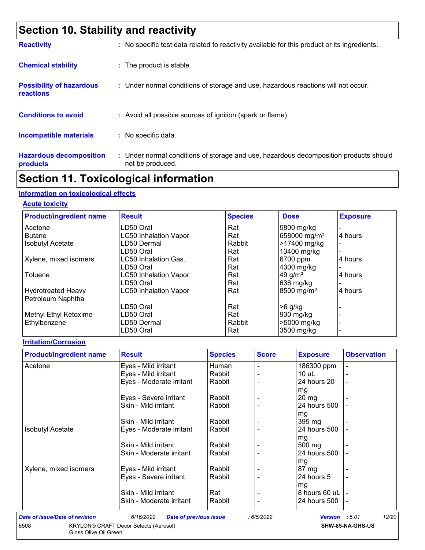# **Section 10. Stability and reactivity**

| <b>Reactivity</b>                            | : No specific test data related to reactivity available for this product or its ingredients.              |
|----------------------------------------------|-----------------------------------------------------------------------------------------------------------|
| <b>Chemical stability</b>                    | : The product is stable.                                                                                  |
| <b>Possibility of hazardous</b><br>reactions | : Under normal conditions of storage and use, hazardous reactions will not occur.                         |
| <b>Conditions to avoid</b>                   | : Avoid all possible sources of ignition (spark or flame).                                                |
| <b>Incompatible materials</b>                | : No specific data.                                                                                       |
| <b>Hazardous decomposition</b><br>products   | : Under normal conditions of storage and use, hazardous decomposition products should<br>not be produced. |

# **Section 11. Toxicological information**

## **Information on toxicological effects**

#### **Acute toxicity**

| <b>Product/ingredient name</b> | <b>Result</b>                | <b>Species</b> | <b>Dose</b>              | <b>Exposure</b> |
|--------------------------------|------------------------------|----------------|--------------------------|-----------------|
| Acetone                        | LD50 Oral                    | Rat            | 5800 mg/kg               |                 |
| <b>Butane</b>                  | <b>LC50 Inhalation Vapor</b> | Rat            | 658000 mg/m <sup>3</sup> | 4 hours         |
| <b>Isobutyl Acetate</b>        | LD50 Dermal                  | Rabbit         | >17400 mg/kg             |                 |
|                                | LD50 Oral                    | Rat            | 13400 mg/kg              |                 |
| Xylene, mixed isomers          | LC50 Inhalation Gas.         | Rat            | 6700 ppm                 | 4 hours         |
|                                | LD50 Oral                    | Rat            | 4300 mg/kg               |                 |
| Toluene                        | <b>LC50 Inhalation Vapor</b> | Rat            | 49 $g/m3$                | 4 hours         |
|                                | LD50 Oral                    | Rat            | 636 mg/kg                |                 |
| <b>Hydrotreated Heavy</b>      | <b>LC50 Inhalation Vapor</b> | Rat            | 8500 mg/m <sup>3</sup>   | 4 hours         |
| Petroleum Naphtha              |                              |                |                          |                 |
|                                | LD50 Oral                    | Rat            | $>6$ g/kg                |                 |
| Methyl Ethyl Ketoxime          | LD50 Oral                    | Rat            | 930 mg/kg                |                 |
| Ethylbenzene                   | LD50 Dermal                  | Rabbit         | >5000 mg/kg              |                 |
|                                | LD50 Oral                    | Rat            | 3500 mg/kg               |                 |

### **Irritation/Corrosion**

| <b>Product/ingredient name</b> | <b>Result</b>                                | <b>Species</b> | <b>Score</b> | <b>Exposure</b>  | <b>Observation</b> |
|--------------------------------|----------------------------------------------|----------------|--------------|------------------|--------------------|
| Acetone                        | Eyes - Mild irritant                         | Human          |              | 186300 ppm       |                    |
|                                | Eyes - Mild irritant                         | Rabbit         |              | $10$ uL          |                    |
|                                | Eyes - Moderate irritant                     | Rabbit         |              | 24 hours 20      |                    |
|                                |                                              |                |              | mg               |                    |
|                                | Eyes - Severe irritant                       | Rabbit         |              | $20 \, mg$       |                    |
|                                | Skin - Mild irritant                         | Rabbit         |              | 24 hours 500     |                    |
|                                |                                              |                |              | mg               |                    |
|                                | Skin - Mild irritant                         | Rabbit         |              | $395 \text{ mg}$ |                    |
| <b>Isobutyl Acetate</b>        | Eyes - Moderate irritant                     | Rabbit         |              | 24 hours 500     |                    |
|                                |                                              |                |              | mg               |                    |
|                                | Skin - Mild irritant                         | Rabbit         |              | 500 mg           |                    |
|                                | Skin - Moderate irritant                     | Rabbit         |              | 24 hours 500     |                    |
|                                |                                              |                |              | mg               |                    |
| Xylene, mixed isomers          | Eyes - Mild irritant                         | Rabbit         |              | $87 \text{ mg}$  |                    |
|                                | Eyes - Severe irritant                       | Rabbit         |              | 24 hours 5       |                    |
|                                |                                              |                |              | mg               |                    |
|                                | Skin - Mild irritant                         | Rat            |              | 8 hours 60 uL    |                    |
|                                | Skin - Moderate irritant                     | Rabbit         |              | 24 hours 500     |                    |
|                                |                                              |                |              |                  |                    |
| Date of issue/Date of revision | : 6/16/2022<br><b>Date of previous issue</b> |                | :6/5/2022    | <b>Version</b>   | 12/20<br>:5.01     |
| 6508                           | KRYLON® CRAFT Decor Selects (Aerosol)        |                |              |                  | SHW-85-NA-GHS-US   |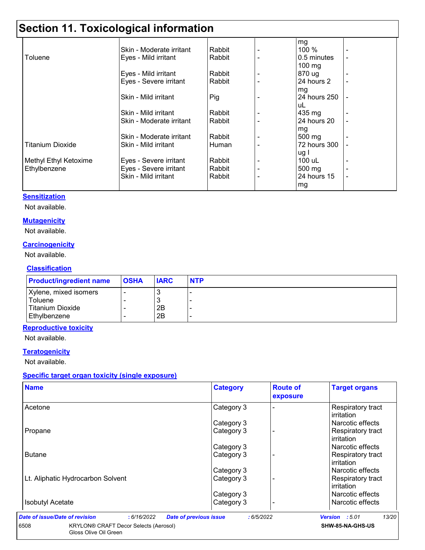# **Section 11. Toxicological information**

|                       | Skin - Moderate irritant | Rabbit |   | mg<br>100 %  |                |
|-----------------------|--------------------------|--------|---|--------------|----------------|
| Toluene               | Eyes - Mild irritant     | Rabbit |   | 0.5 minutes  | $\blacksquare$ |
|                       |                          |        |   | $100$ mg     |                |
|                       | Eyes - Mild irritant     | Rabbit |   | 870 ug       |                |
|                       | Eyes - Severe irritant   | Rabbit |   | 24 hours 2   | $\blacksquare$ |
|                       |                          |        |   | mg           |                |
|                       | Skin - Mild irritant     | Pig    |   | 24 hours 250 |                |
|                       |                          |        |   | uL           |                |
|                       | Skin - Mild irritant     | Rabbit |   | 435 mg       |                |
|                       | Skin - Moderate irritant | Rabbit |   | 24 hours 20  |                |
|                       |                          |        |   | mg           |                |
|                       | Skin - Moderate irritant | Rabbit |   | 500 mg       |                |
| Titanium Dioxide      | Skin - Mild irritant     | Human  |   | 72 hours 300 |                |
|                       |                          |        |   | ug I         |                |
| Methyl Ethyl Ketoxime | Eyes - Severe irritant   | Rabbit |   | 100 uL       |                |
| Ethylbenzene          | Eyes - Severe irritant   | Rabbit | ۰ | 500 mg       | ٠              |
|                       | Skin - Mild irritant     | Rabbit |   | 24 hours 15  | ۰              |
|                       |                          |        |   | mg           |                |

### **Sensitization**

Not available.

#### **Mutagenicity**

Not available.

## **Carcinogenicity**

Not available.

## **Classification**

| <b>Product/ingredient name</b>                       | <b>OSHA</b> | <b>IARC</b> | <b>NTP</b> |
|------------------------------------------------------|-------------|-------------|------------|
| Xylene, mixed isomers<br>Toluene<br>Titanium Dioxide |             | J.<br>2B    |            |
| l Ethvlbenzene                                       |             | 2B          |            |

### **Reproductive toxicity**

Not available.

## **Teratogenicity**

Not available.

## **Specific target organ toxicity (single exposure)**

| <b>Name</b>                       | <b>Category</b> | <b>Route of</b><br>exposure | <b>Target organs</b> |
|-----------------------------------|-----------------|-----------------------------|----------------------|
| Acetone                           | Category 3      |                             | Respiratory tract    |
|                                   |                 |                             | irritation           |
|                                   | Category 3      |                             | Narcotic effects     |
| Propane                           | Category 3      |                             | Respiratory tract    |
|                                   |                 |                             | irritation           |
|                                   | Category 3      |                             | Narcotic effects     |
| <b>Butane</b>                     | Category 3      |                             | Respiratory tract    |
|                                   |                 |                             | irritation           |
|                                   | Category 3      |                             | Narcotic effects     |
| Lt. Aliphatic Hydrocarbon Solvent | Category 3      |                             | Respiratory tract    |
|                                   |                 |                             | irritation           |
|                                   | Category 3      |                             | Narcotic effects     |
| <b>Isobutyl Acetate</b>           | Category 3      |                             | Narcotic effects     |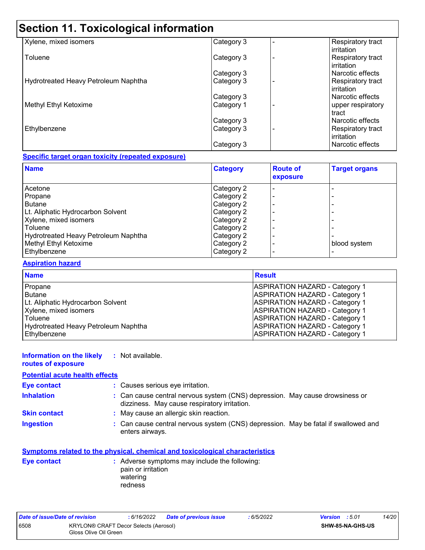# **Section 11. Toxicological information**

| Xylene, mixed isomers                | Category 3 | Respiratory tract<br>irritation |
|--------------------------------------|------------|---------------------------------|
| Toluene                              | Category 3 | Respiratory tract<br>irritation |
|                                      | Category 3 | Narcotic effects                |
| Hydrotreated Heavy Petroleum Naphtha | Category 3 | Respiratory tract<br>irritation |
|                                      | Category 3 | Narcotic effects                |
| Methyl Ethyl Ketoxime                | Category 1 | upper respiratory<br>tract      |
|                                      | Category 3 | Narcotic effects                |
| Ethylbenzene                         | Category 3 | Respiratory tract<br>irritation |
|                                      | Category 3 | Narcotic effects                |

### **Specific target organ toxicity (repeated exposure)**

| <b>Name</b>                          | <b>Category</b> | <b>Route of</b><br>exposure | <b>Target organs</b> |
|--------------------------------------|-----------------|-----------------------------|----------------------|
| Acetone                              | Category 2      |                             |                      |
| Propane                              | Category 2      |                             |                      |
| <b>Butane</b>                        | Category 2      |                             |                      |
| Lt. Aliphatic Hydrocarbon Solvent    | Category 2      |                             |                      |
| Xylene, mixed isomers                | Category 2      |                             |                      |
| Toluene                              | Category 2      |                             |                      |
| Hydrotreated Heavy Petroleum Naphtha | Category 2      |                             |                      |
| Methyl Ethyl Ketoxime                | Category 2      |                             | blood system         |
| Ethylbenzene                         | Category 2      |                             |                      |

### **Aspiration hazard**

| <b>Name</b>                          | <b>Result</b>                         |
|--------------------------------------|---------------------------------------|
| Propane                              | <b>ASPIRATION HAZARD - Category 1</b> |
| Butane                               | <b>ASPIRATION HAZARD - Category 1</b> |
| Lt. Aliphatic Hydrocarbon Solvent    | <b>ASPIRATION HAZARD - Category 1</b> |
| Xylene, mixed isomers                | <b>ASPIRATION HAZARD - Category 1</b> |
| <b>Toluene</b>                       | <b>ASPIRATION HAZARD - Category 1</b> |
| Hydrotreated Heavy Petroleum Naphtha | <b>ASPIRATION HAZARD - Category 1</b> |
| Ethylbenzene                         | <b>ASPIRATION HAZARD - Category 1</b> |

#### **Information on the likely :** Not available.

**routes of exposure**

## **Potential acute health effects**

| <b>Eye contact</b>  | : Causes serious eye irritation.                                                                                             |
|---------------------|------------------------------------------------------------------------------------------------------------------------------|
| <b>Inhalation</b>   | : Can cause central nervous system (CNS) depression. May cause drowsiness or<br>dizziness. May cause respiratory irritation. |
| <b>Skin contact</b> | : May cause an allergic skin reaction.                                                                                       |
| <b>Ingestion</b>    | : Can cause central nervous system (CNS) depression. May be fatal if swallowed and<br>enters airways.                        |

## **Symptoms related to the physical, chemical and toxicological characteristics**

| Eye contact | : Adverse symptoms may include the following:<br>pain or irritation |
|-------------|---------------------------------------------------------------------|
|             | watering                                                            |
|             | redness                                                             |

| Date of issue/Date of revision |                                                                | : 6/16/2022 | <b>Date of previous issue</b> | : 6/5/2022              | <b>Version</b> : 5.01 | 14/20 |
|--------------------------------|----------------------------------------------------------------|-------------|-------------------------------|-------------------------|-----------------------|-------|
| 6508                           | KRYLON® CRAFT Decor Selects (Aerosol)<br>Gloss Olive Oil Green |             |                               | <b>SHW-85-NA-GHS-US</b> |                       |       |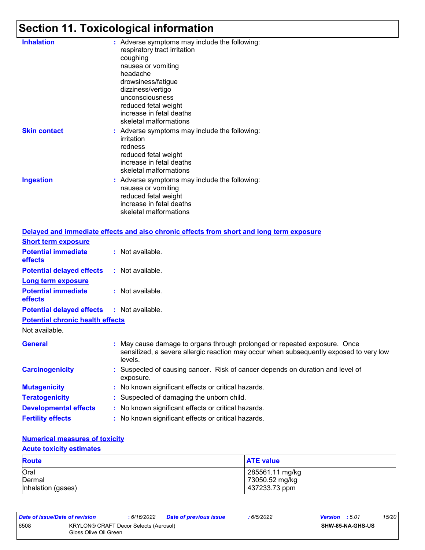# **Section 11. Toxicological information**

| <b>Inhalation</b>   | : Adverse symptoms may include the following:<br>respiratory tract irritation<br>coughing<br>nausea or vomiting<br>headache<br>drowsiness/fatigue<br>dizziness/vertigo<br>unconsciousness<br>reduced fetal weight<br>increase in fetal deaths<br>skeletal malformations |
|---------------------|-------------------------------------------------------------------------------------------------------------------------------------------------------------------------------------------------------------------------------------------------------------------------|
| <b>Skin contact</b> | : Adverse symptoms may include the following:<br>irritation<br>redness<br>reduced fetal weight<br>increase in fetal deaths<br>skeletal malformations                                                                                                                    |
| <b>Ingestion</b>    | : Adverse symptoms may include the following:<br>nausea or vomiting<br>reduced fetal weight<br>increase in fetal deaths<br>skeletal malformations                                                                                                                       |

|                                  | Delayed and immediate effects and also chronic effects from short and long term exposure                                                                                       |
|----------------------------------|--------------------------------------------------------------------------------------------------------------------------------------------------------------------------------|
|                                  |                                                                                                                                                                                |
|                                  | : Not available.                                                                                                                                                               |
| <b>Potential delayed effects</b> | : Not available.                                                                                                                                                               |
|                                  |                                                                                                                                                                                |
|                                  | $:$ Not available.                                                                                                                                                             |
|                                  | <b>Potential delayed effects : Not available.</b>                                                                                                                              |
|                                  |                                                                                                                                                                                |
|                                  |                                                                                                                                                                                |
|                                  | : May cause damage to organs through prolonged or repeated exposure. Once<br>sensitized, a severe allergic reaction may occur when subsequently exposed to very low<br>levels. |
|                                  | : Suspected of causing cancer. Risk of cancer depends on duration and level of<br>exposure.                                                                                    |
|                                  | : No known significant effects or critical hazards.                                                                                                                            |
|                                  | : Suspected of damaging the unborn child.                                                                                                                                      |
|                                  | : No known significant effects or critical hazards.                                                                                                                            |
|                                  | : No known significant effects or critical hazards.                                                                                                                            |
|                                  | <b>Potential chronic health effects</b>                                                                                                                                        |

## **Numerical measures of toxicity**

## **Acute toxicity estimates**

| <b>Route</b>       | <b>ATE value</b> |
|--------------------|------------------|
| Oral               | 285561.11 mg/kg  |
| Dermal             | 73050.52 mg/kg   |
| Inhalation (gases) | 437233.73 ppm    |

| Date of issue/Date of revision |                                                                       | : 6/16/2022 | <b>Date of previous issue</b> | : 6/5/2022              | <b>Version</b> : 5.01 | 15/20 |
|--------------------------------|-----------------------------------------------------------------------|-------------|-------------------------------|-------------------------|-----------------------|-------|
| 6508                           | <b>KRYLON® CRAFT Decor Selects (Aerosol)</b><br>Gloss Olive Oil Green |             |                               | <b>SHW-85-NA-GHS-US</b> |                       |       |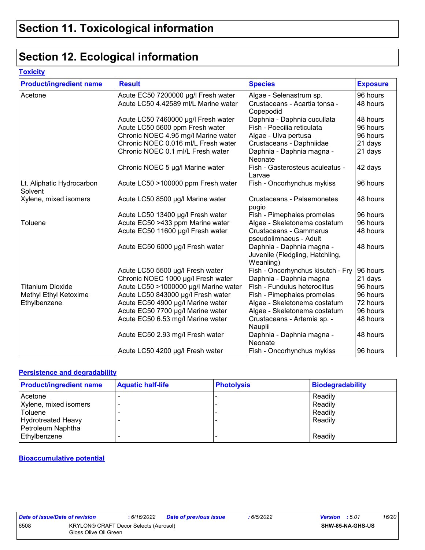# **Section 12. Ecological information**

### **Toxicity**

| <b>Product/ingredient name</b>       | <b>Result</b>                         | <b>Species</b>                                                            | <b>Exposure</b> |
|--------------------------------------|---------------------------------------|---------------------------------------------------------------------------|-----------------|
| Acetone                              | Acute EC50 7200000 µg/l Fresh water   | Algae - Selenastrum sp.                                                   | 96 hours        |
|                                      | Acute LC50 4.42589 ml/L Marine water  | Crustaceans - Acartia tonsa -                                             | 48 hours        |
|                                      |                                       | Copepodid                                                                 |                 |
|                                      | Acute LC50 7460000 µg/l Fresh water   | Daphnia - Daphnia cucullata                                               | 48 hours        |
|                                      | Acute LC50 5600 ppm Fresh water       | Fish - Poecilia reticulata                                                | 96 hours        |
|                                      | Chronic NOEC 4.95 mg/l Marine water   | Algae - Ulva pertusa                                                      | 96 hours        |
|                                      | Chronic NOEC 0.016 ml/L Fresh water   | Crustaceans - Daphniidae                                                  | 21 days         |
|                                      | Chronic NOEC 0.1 ml/L Fresh water     | Daphnia - Daphnia magna -<br>Neonate                                      | 21 days         |
|                                      | Chronic NOEC 5 µg/l Marine water      | Fish - Gasterosteus aculeatus -<br>Larvae                                 | 42 days         |
| Lt. Aliphatic Hydrocarbon<br>Solvent | Acute LC50 >100000 ppm Fresh water    | Fish - Oncorhynchus mykiss                                                | 96 hours        |
| Xylene, mixed isomers                | Acute LC50 8500 µg/l Marine water     | <b>Crustaceans - Palaemonetes</b><br>pugio                                | 48 hours        |
|                                      | Acute LC50 13400 µg/l Fresh water     | Fish - Pimephales promelas                                                | 96 hours        |
| Toluene                              | Acute EC50 >433 ppm Marine water      | Algae - Skeletonema costatum                                              | 96 hours        |
|                                      | Acute EC50 11600 µg/l Fresh water     | Crustaceans - Gammarus<br>pseudolimnaeus - Adult                          | 48 hours        |
|                                      | Acute EC50 6000 µg/l Fresh water      | Daphnia - Daphnia magna -<br>Juvenile (Fledgling, Hatchling,<br>Weanling) | 48 hours        |
|                                      | Acute LC50 5500 µg/l Fresh water      | Fish - Oncorhynchus kisutch - Fry                                         | 96 hours        |
|                                      | Chronic NOEC 1000 µg/l Fresh water    | Daphnia - Daphnia magna                                                   | 21 days         |
| <b>Titanium Dioxide</b>              | Acute LC50 >1000000 µg/l Marine water | Fish - Fundulus heteroclitus                                              | 96 hours        |
| Methyl Ethyl Ketoxime                | Acute LC50 843000 µg/l Fresh water    | Fish - Pimephales promelas                                                | 96 hours        |
| Ethylbenzene                         | Acute EC50 4900 µg/l Marine water     | Algae - Skeletonema costatum                                              | 72 hours        |
|                                      | Acute EC50 7700 µg/l Marine water     | Algae - Skeletonema costatum                                              | 96 hours        |
|                                      | Acute EC50 6.53 mg/l Marine water     | Crustaceans - Artemia sp. -<br>Nauplii                                    | 48 hours        |
|                                      | Acute EC50 2.93 mg/l Fresh water      | Daphnia - Daphnia magna -<br>Neonate                                      | 48 hours        |
|                                      | Acute LC50 4200 µg/l Fresh water      | Fish - Oncorhynchus mykiss                                                | 96 hours        |

### **Persistence and degradability**

| <b>Product/ingredient name</b> | <b>Aquatic half-life</b> | <b>Photolysis</b> | Biodegradability |
|--------------------------------|--------------------------|-------------------|------------------|
| Acetone                        |                          |                   | Readily          |
| Xylene, mixed isomers          |                          |                   | Readily          |
| Toluene                        |                          |                   | Readily          |
| <b>Hydrotreated Heavy</b>      | $\overline{\phantom{a}}$ |                   | Readily          |
| Petroleum Naphtha              |                          |                   |                  |
| Ethylbenzene                   |                          |                   | Readily          |

#### **Bioaccumulative potential**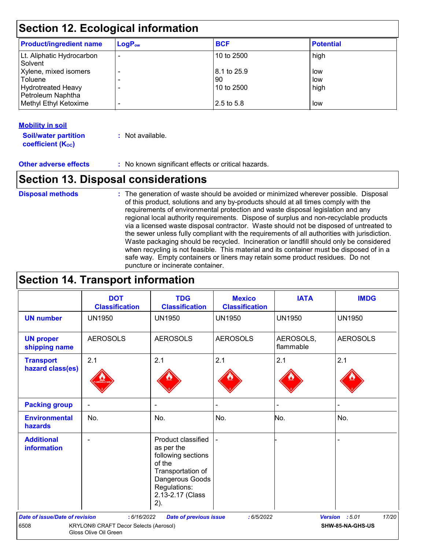# **Section 12. Ecological information**

| <b>Product/ingredient name</b>              | $LogP_{ow}$ | <b>BCF</b>  | <b>Potential</b> |
|---------------------------------------------|-------------|-------------|------------------|
| Lt. Aliphatic Hydrocarbon<br><b>Solvent</b> |             | 10 to 2500  | high             |
| Xylene, mixed isomers                       |             | 8.1 to 25.9 | low              |
| Toluene                                     |             | 90          | low              |
| <b>Hydrotreated Heavy</b>                   |             | 10 to 2500  | high             |
| Petroleum Naphtha<br>Methyl Ethyl Ketoxime  |             | 2.5 to 5.8  | low              |

## **Mobility in soil**

**Soil/water partition coefficient (K**<sub>oc</sub>) **:** Not available.

**Other adverse effects** : No known significant effects or critical hazards.

## **Section 13. Disposal considerations**

The generation of waste should be avoided or minimized wherever possible. Disposal of this product, solutions and any by-products should at all times comply with the requirements of environmental protection and waste disposal legislation and any regional local authority requirements. Dispose of surplus and non-recyclable products via a licensed waste disposal contractor. Waste should not be disposed of untreated to the sewer unless fully compliant with the requirements of all authorities with jurisdiction. Waste packaging should be recycled. Incineration or landfill should only be considered when recycling is not feasible. This material and its container must be disposed of in a safe way. Empty containers or liners may retain some product residues. Do not puncture or incinerate container. **Disposal methods :**

## **Section 14. Transport information**

|                                         | <b>DOT</b><br><b>Classification</b>                            | <b>TDG</b><br><b>Classification</b>                                                                                                                 | <b>Mexico</b><br><b>Classification</b> | <b>IATA</b>            | <b>IMDG</b>             |
|-----------------------------------------|----------------------------------------------------------------|-----------------------------------------------------------------------------------------------------------------------------------------------------|----------------------------------------|------------------------|-------------------------|
| <b>UN number</b>                        | <b>UN1950</b>                                                  | <b>UN1950</b>                                                                                                                                       | <b>UN1950</b>                          | <b>UN1950</b>          | <b>UN1950</b>           |
| <b>UN proper</b><br>shipping name       | <b>AEROSOLS</b>                                                | <b>AEROSOLS</b>                                                                                                                                     | <b>AEROSOLS</b>                        | AEROSOLS,<br>flammable | <b>AEROSOLS</b>         |
| <b>Transport</b><br>hazard class(es)    | 2.1                                                            | 2.1                                                                                                                                                 | 2.1                                    | 2.1                    | 2.1                     |
| <b>Packing group</b>                    |                                                                |                                                                                                                                                     |                                        |                        |                         |
| <b>Environmental</b><br>hazards         | No.                                                            | No.                                                                                                                                                 | No.                                    | No.                    | No.                     |
| <b>Additional</b><br><b>information</b> | ۰                                                              | Product classified<br>as per the<br>following sections<br>of the<br>Transportation of<br>Dangerous Goods<br>Regulations:<br>2.13-2.17 (Class<br>2). |                                        |                        |                         |
| <b>Date of issue/Date of revision</b>   | : 6/16/2022                                                    | <b>Date of previous issue</b>                                                                                                                       | : 6/5/2022                             |                        | Version : 5.01<br>17/20 |
| 6508                                    | KRYLON® CRAFT Decor Selects (Aerosol)<br>Gloss Olive Oil Green |                                                                                                                                                     |                                        |                        | SHW-85-NA-GHS-US        |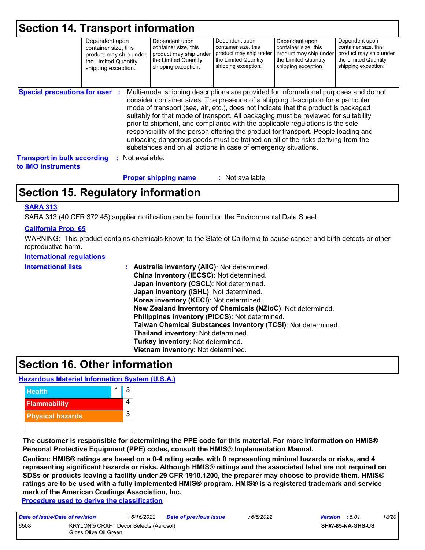| <b>Section 14. Transport information</b> |                                                                                                                 |                                                                                                                 |                                                                                       |                                                                                                                                        |                                                                                                                 |
|------------------------------------------|-----------------------------------------------------------------------------------------------------------------|-----------------------------------------------------------------------------------------------------------------|---------------------------------------------------------------------------------------|----------------------------------------------------------------------------------------------------------------------------------------|-----------------------------------------------------------------------------------------------------------------|
|                                          | Dependent upon<br>container size, this<br>product may ship under<br>the Limited Quantity<br>shipping exception. | Dependent upon<br>container size, this<br>product may ship under<br>the Limited Quantity<br>shipping exception. | Dependent upon<br>container size, this<br>the Limited Quantity<br>shipping exception. | Dependent upon<br>container size, this<br>product may ship under product may ship under<br>the Limited Quantity<br>shipping exception. | Dependent upon<br>container size, this<br>product may ship under<br>the Limited Quantity<br>shipping exception. |
|                                          |                                                                                                                 |                                                                                                                 |                                                                                       |                                                                                                                                        |                                                                                                                 |

**Special precautions for user :** Multi-modal shipping descriptions are provided for informational purposes and do not consider container sizes. The presence of a shipping description for a particular mode of transport (sea, air, etc.), does not indicate that the product is packaged suitably for that mode of transport. All packaging must be reviewed for suitability prior to shipment, and compliance with the applicable regulations is the sole responsibility of the person offering the product for transport. People loading and unloading dangerous goods must be trained on all of the risks deriving from the substances and on all actions in case of emergency situations.

**Transport in bulk according to IMO instruments :** Not available.

> : Not available. **Proper shipping name :**

# **Section 15. Regulatory information**

## **SARA 313**

SARA 313 (40 CFR 372.45) supplier notification can be found on the Environmental Data Sheet.

## **California Prop. 65**

WARNING: This product contains chemicals known to the State of California to cause cancer and birth defects or other reproductive harm.

#### **International regulations**

| <b>International lists</b> | : Australia inventory (AIIC): Not determined.<br>China inventory (IECSC): Not determined.<br>Japan inventory (CSCL): Not determined.<br>Japan inventory (ISHL): Not determined.<br>Korea inventory (KECI): Not determined.<br>New Zealand Inventory of Chemicals (NZIoC): Not determined.<br>Philippines inventory (PICCS): Not determined.<br>Taiwan Chemical Substances Inventory (TCSI): Not determined.<br>Thailand inventory: Not determined.<br>Turkey inventory: Not determined.<br>Vietnam inventory: Not determined. |
|----------------------------|-------------------------------------------------------------------------------------------------------------------------------------------------------------------------------------------------------------------------------------------------------------------------------------------------------------------------------------------------------------------------------------------------------------------------------------------------------------------------------------------------------------------------------|
|----------------------------|-------------------------------------------------------------------------------------------------------------------------------------------------------------------------------------------------------------------------------------------------------------------------------------------------------------------------------------------------------------------------------------------------------------------------------------------------------------------------------------------------------------------------------|

## **Section 16. Other information**

## **Hazardous Material Information System (U.S.A.)**



**The customer is responsible for determining the PPE code for this material. For more information on HMIS® Personal Protective Equipment (PPE) codes, consult the HMIS® Implementation Manual.**

**Caution: HMIS® ratings are based on a 0-4 rating scale, with 0 representing minimal hazards or risks, and 4 representing significant hazards or risks. Although HMIS® ratings and the associated label are not required on SDSs or products leaving a facility under 29 CFR 1910.1200, the preparer may choose to provide them. HMIS® ratings are to be used with a fully implemented HMIS® program. HMIS® is a registered trademark and service mark of the American Coatings Association, Inc.**

**Procedure used to derive the classification**

| Date of issue/Date of revision |                                                                | : 6/16/2022 | <b>Date of previous issue</b> | : 6/5/2022 | <b>Version</b> : 5.01   |  | 18/20 |
|--------------------------------|----------------------------------------------------------------|-------------|-------------------------------|------------|-------------------------|--|-------|
| 6508                           | KRYLON® CRAFT Decor Selects (Aerosol)<br>Gloss Olive Oil Green |             |                               |            | <b>SHW-85-NA-GHS-US</b> |  |       |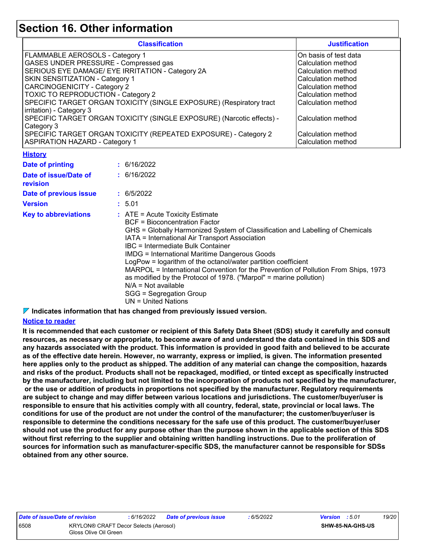## **Section 16. Other information**

| <b>Classification</b>                                                 | <b>Justification</b>  |  |  |
|-----------------------------------------------------------------------|-----------------------|--|--|
| FLAMMABLE AEROSOLS - Category 1                                       | On basis of test data |  |  |
| GASES UNDER PRESSURE - Compressed gas                                 | Calculation method    |  |  |
| SERIOUS EYE DAMAGE/ EYE IRRITATION - Category 2A                      | Calculation method    |  |  |
| SKIN SENSITIZATION - Category 1                                       | Calculation method    |  |  |
| <b>CARCINOGENICITY - Category 2</b>                                   | Calculation method    |  |  |
| TOXIC TO REPRODUCTION - Category 2                                    | Calculation method    |  |  |
| SPECIFIC TARGET ORGAN TOXICITY (SINGLE EXPOSURE) (Respiratory tract   | Calculation method    |  |  |
| irritation) - Category 3                                              |                       |  |  |
| SPECIFIC TARGET ORGAN TOXICITY (SINGLE EXPOSURE) (Narcotic effects) - | Calculation method    |  |  |
| Category 3                                                            |                       |  |  |
| SPECIFIC TARGET ORGAN TOXICITY (REPEATED EXPOSURE) - Category 2       | Calculation method    |  |  |
| <b>ASPIRATION HAZARD - Category 1</b>                                 | Calculation method    |  |  |

#### **History**

| Date of printing                         | : 6/16/2022                                                                                                                                                                                                                                                                                                                                                                                                                                                                                                                                                                                                         |
|------------------------------------------|---------------------------------------------------------------------------------------------------------------------------------------------------------------------------------------------------------------------------------------------------------------------------------------------------------------------------------------------------------------------------------------------------------------------------------------------------------------------------------------------------------------------------------------------------------------------------------------------------------------------|
| Date of issue/Date of<br><b>revision</b> | : 6/16/2022                                                                                                                                                                                                                                                                                                                                                                                                                                                                                                                                                                                                         |
| Date of previous issue                   | : 6/5/2022                                                                                                                                                                                                                                                                                                                                                                                                                                                                                                                                                                                                          |
| <b>Version</b>                           | : 5.01                                                                                                                                                                                                                                                                                                                                                                                                                                                                                                                                                                                                              |
| <b>Key to abbreviations</b>              | $\therefore$ ATE = Acute Toxicity Estimate<br>BCF = Bioconcentration Factor<br>GHS = Globally Harmonized System of Classification and Labelling of Chemicals<br>IATA = International Air Transport Association<br>IBC = Intermediate Bulk Container<br><b>IMDG = International Maritime Dangerous Goods</b><br>LogPow = logarithm of the octanol/water partition coefficient<br>MARPOL = International Convention for the Prevention of Pollution From Ships, 1973<br>as modified by the Protocol of 1978. ("Marpol" = marine pollution)<br>$N/A = Not available$<br>SGG = Segregation Group<br>UN = United Nations |

**Indicates information that has changed from previously issued version.**

## **Notice to reader**

**It is recommended that each customer or recipient of this Safety Data Sheet (SDS) study it carefully and consult resources, as necessary or appropriate, to become aware of and understand the data contained in this SDS and any hazards associated with the product. This information is provided in good faith and believed to be accurate as of the effective date herein. However, no warranty, express or implied, is given. The information presented here applies only to the product as shipped. The addition of any material can change the composition, hazards and risks of the product. Products shall not be repackaged, modified, or tinted except as specifically instructed by the manufacturer, including but not limited to the incorporation of products not specified by the manufacturer, or the use or addition of products in proportions not specified by the manufacturer. Regulatory requirements are subject to change and may differ between various locations and jurisdictions. The customer/buyer/user is responsible to ensure that his activities comply with all country, federal, state, provincial or local laws. The conditions for use of the product are not under the control of the manufacturer; the customer/buyer/user is responsible to determine the conditions necessary for the safe use of this product. The customer/buyer/user should not use the product for any purpose other than the purpose shown in the applicable section of this SDS without first referring to the supplier and obtaining written handling instructions. Due to the proliferation of sources for information such as manufacturer-specific SDS, the manufacturer cannot be responsible for SDSs obtained from any other source.**